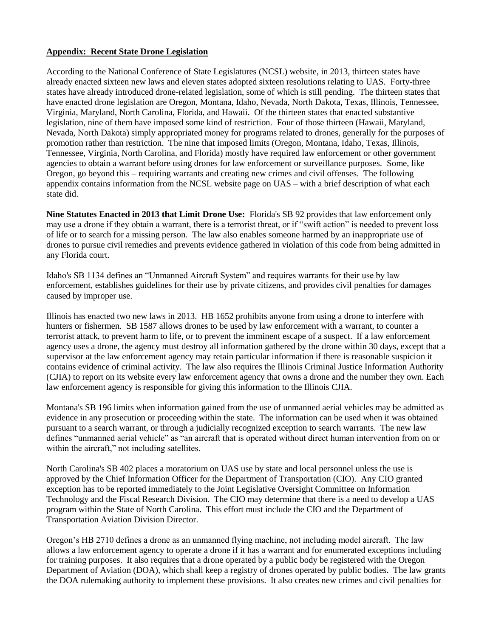## **Appendix: Recent State Drone Legislation**

According to the National Conference of State Legislatures (NCSL) website, in 2013, thirteen states have already enacted sixteen new laws and eleven states adopted sixteen resolutions relating to UAS. Forty-three states have already introduced drone-related legislation, some of which is still pending. The thirteen states that have enacted drone legislation are Oregon, Montana, Idaho, Nevada, North Dakota, Texas, Illinois, Tennessee, Virginia, Maryland, North Carolina, Florida, and Hawaii. Of the thirteen states that enacted substantive legislation, nine of them have imposed some kind of restriction. Four of those thirteen (Hawaii, Maryland, Nevada, North Dakota) simply appropriated money for programs related to drones, generally for the purposes of promotion rather than restriction. The nine that imposed limits (Oregon, Montana, Idaho, Texas, Illinois, Tennessee, Virginia, North Carolina, and Florida) mostly have required law enforcement or other government agencies to obtain a warrant before using drones for law enforcement or surveillance purposes. Some, like Oregon, go beyond this – requiring warrants and creating new crimes and civil offenses. The following appendix contains information from the NCSL website page on UAS – with a brief description of what each state did.

**Nine Statutes Enacted in 2013 that Limit Drone Use:** Florida's SB 92 provides that law enforcement only may use a drone if they obtain a warrant, there is a terrorist threat, or if "swift action" is needed to prevent loss of life or to search for a missing person. The law also enables someone harmed by an inappropriate use of drones to pursue civil remedies and prevents evidence gathered in violation of this code from being admitted in any Florida court.

Idaho's SB 1134 defines an "Unmanned Aircraft System" and requires warrants for their use by law enforcement, establishes guidelines for their use by private citizens, and provides civil penalties for damages caused by improper use.

Illinois has enacted two new laws in 2013. HB 1652 prohibits anyone from using a drone to interfere with hunters or fishermen. SB 1587 allows drones to be used by law enforcement with a warrant, to counter a terrorist attack, to prevent harm to life, or to prevent the imminent escape of a suspect. If a law enforcement agency uses a drone, the agency must destroy all information gathered by the drone within 30 days, except that a supervisor at the law enforcement agency may retain particular information if there is reasonable suspicion it contains evidence of criminal activity. The law also requires the Illinois Criminal Justice Information Authority (CJIA) to report on its website every law enforcement agency that owns a drone and the number they own. Each law enforcement agency is responsible for giving this information to the Illinois CJIA.

Montana's SB 196 limits when information gained from the use of unmanned aerial vehicles may be admitted as evidence in any prosecution or proceeding within the state. The information can be used when it was obtained pursuant to a search warrant, or through a judicially recognized exception to search warrants. The new law defines "unmanned aerial vehicle" as "an aircraft that is operated without direct human intervention from on or within the aircraft," not including satellites.

North Carolina's SB 402 places a moratorium on UAS use by state and local personnel unless the use is approved by the Chief Information Officer for the Department of Transportation (CIO). Any CIO granted exception has to be reported immediately to the Joint Legislative Oversight Committee on Information Technology and the Fiscal Research Division. The CIO may determine that there is a need to develop a UAS program within the State of North Carolina. This effort must include the CIO and the Department of Transportation Aviation Division Director.

Oregon's HB 2710 defines a drone as an unmanned flying machine, not including model aircraft. The law allows a law enforcement agency to operate a drone if it has a warrant and for enumerated exceptions including for training purposes. It also requires that a drone operated by a public body be registered with the Oregon Department of Aviation (DOA), which shall keep a registry of drones operated by public bodies. The law grants the DOA rulemaking authority to implement these provisions. It also creates new crimes and civil penalties for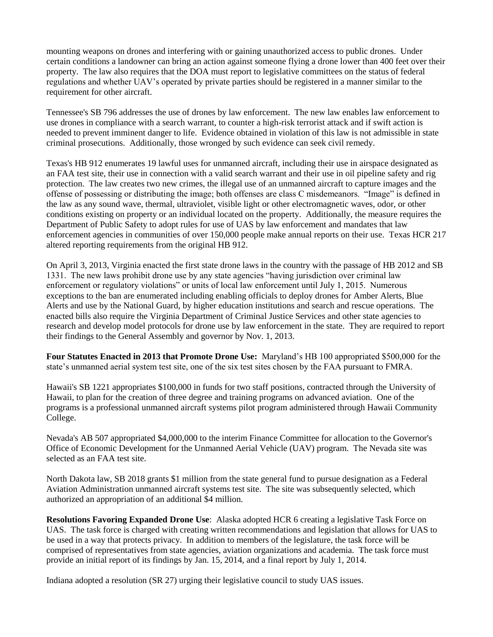mounting weapons on drones and interfering with or gaining unauthorized access to public drones. Under certain conditions a landowner can bring an action against someone flying a drone lower than 400 feet over their property. The law also requires that the DOA must report to legislative committees on the status of federal regulations and whether UAV's operated by private parties should be registered in a manner similar to the requirement for other aircraft.

Tennessee's SB 796 addresses the use of drones by law enforcement. The new law enables law enforcement to use drones in compliance with a search warrant, to counter a high-risk terrorist attack and if swift action is needed to prevent imminent danger to life. Evidence obtained in violation of this law is not admissible in state criminal prosecutions. Additionally, those wronged by such evidence can seek civil remedy.

Texas's HB 912 enumerates 19 lawful uses for unmanned aircraft, including their use in airspace designated as an FAA test site, their use in connection with a valid search warrant and their use in oil pipeline safety and rig protection. The law creates two new crimes, the illegal use of an unmanned aircraft to capture images and the offense of possessing or distributing the image; both offenses are class C misdemeanors. "Image" is defined in the law as any sound wave, thermal, ultraviolet, visible light or other electromagnetic waves, odor, or other conditions existing on property or an individual located on the property. Additionally, the measure requires the Department of Public Safety to adopt rules for use of UAS by law enforcement and mandates that law enforcement agencies in communities of over 150,000 people make annual reports on their use. Texas HCR 217 altered reporting requirements from the original HB 912.

On April 3, 2013, Virginia enacted the first state drone laws in the country with the passage of HB 2012 and SB 1331. The new laws prohibit drone use by any state agencies "having jurisdiction over criminal law enforcement or regulatory violations" or units of local law enforcement until July 1, 2015. Numerous exceptions to the ban are enumerated including enabling officials to deploy drones for Amber Alerts, Blue Alerts and use by the National Guard, by higher education institutions and search and rescue operations. The enacted bills also require the Virginia Department of Criminal Justice Services and other state agencies to research and develop model protocols for drone use by law enforcement in the state. They are required to report their findings to the General Assembly and governor by Nov. 1, 2013.

**Four Statutes Enacted in 2013 that Promote Drone Use:** Maryland's HB 100 appropriated \$500,000 for the state's unmanned aerial system test site, one of the six test sites chosen by the FAA pursuant to FMRA.

Hawaii's SB 1221 appropriates \$100,000 in funds for two staff positions, contracted through the University of Hawaii, to plan for the creation of three degree and training programs on advanced aviation. One of the programs is a professional unmanned aircraft systems pilot program administered through Hawaii Community College.

Nevada's AB 507 appropriated \$4,000,000 to the interim Finance Committee for allocation to the Governor's Office of Economic Development for the Unmanned Aerial Vehicle (UAV) program. The Nevada site was selected as an FAA test site.

North Dakota law, SB 2018 grants \$1 million from the state general fund to pursue designation as a Federal Aviation Administration unmanned aircraft systems test site. The site was subsequently selected, which authorized an appropriation of an additional \$4 million.

**Resolutions Favoring Expanded Drone Use**: Alaska adopted HCR 6 creating a legislative Task Force on UAS. The task force is charged with creating written recommendations and legislation that allows for UAS to be used in a way that protects privacy. In addition to members of the legislature, the task force will be comprised of representatives from state agencies, aviation organizations and academia. The task force must provide an initial report of its findings by Jan. 15, 2014, and a final report by July 1, 2014.

Indiana adopted a resolution (SR 27) urging their legislative council to study UAS issues.